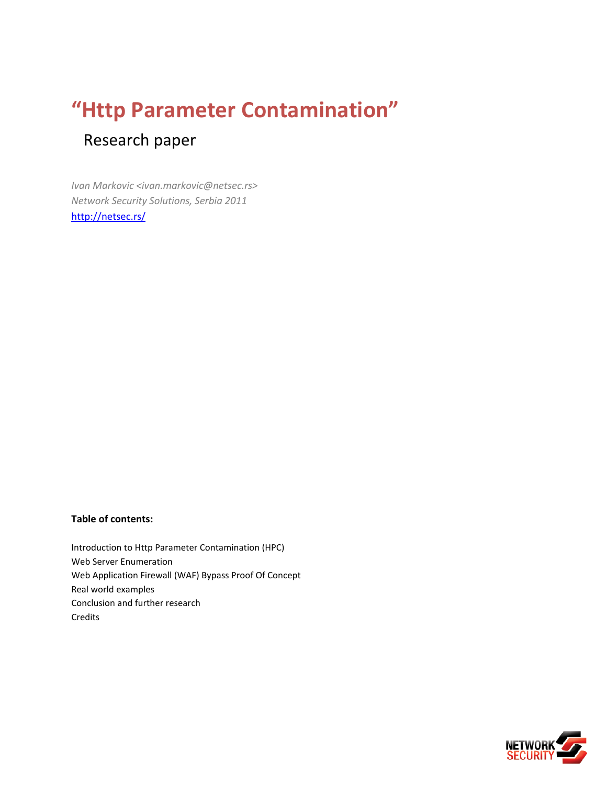# **"Http Parameter Contamination"** Research paper

*Ivan Markovic <ivan.markovic@netsec.rs> Network Security Solutions, Serbia 2011* <http://netsec.rs/>

#### **Table of contents:**

Introduction to Http Parameter Contamination (HPC) Web Server Enumeration Web Application Firewall (WAF) Bypass Proof Of Concept Real world examples Conclusion and further research Credits

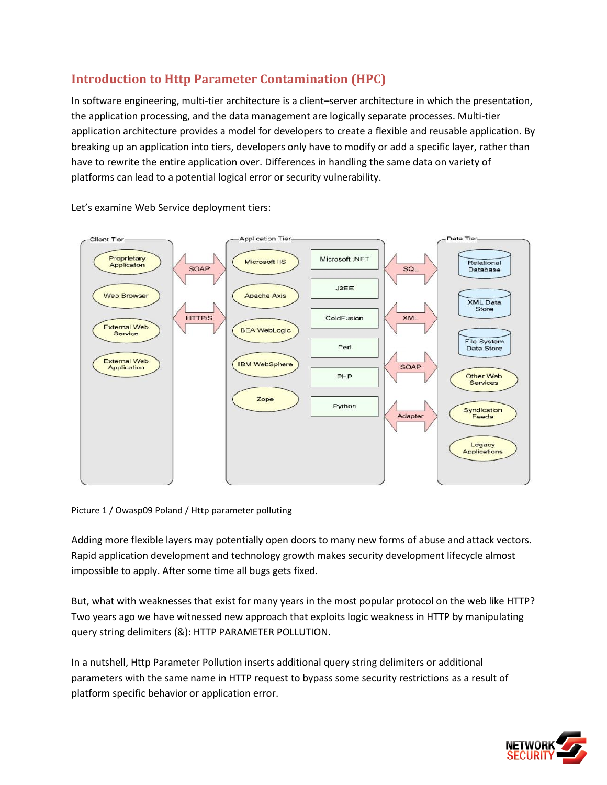# **Introduction to Http Parameter Contamination (HPC)**

In software engineering, multi-tier architecture is a client–server architecture in which the presentation, the application processing, and the data management are logically separate processes. Multi-tier application architecture provides a model for developers to create a flexible and reusable application. By breaking up an application into tiers, developers only have to modify or add a specific layer, rather than have to rewrite the entire application over. Differences in handling the same data on variety of platforms can lead to a potential logical error or security vulnerability.



Let's examine Web Service deployment tiers:

Picture 1 / Owasp09 Poland / Http parameter polluting

Adding more flexible layers may potentially open doors to many new forms of abuse and attack vectors. Rapid application development and technology growth makes security development lifecycle almost impossible to apply. After some time all bugs gets fixed.

But, what with weaknesses that exist for many years in the most popular protocol on the web like HTTP? Two years ago we have witnessed new approach that exploits logic weakness in HTTP by manipulating query string delimiters (&): HTTP PARAMETER POLLUTION.

In a nutshell, Http Parameter Pollution inserts additional query string delimiters or additional parameters with the same name in HTTP request to bypass some security restrictions as a result of platform specific behavior or application error.

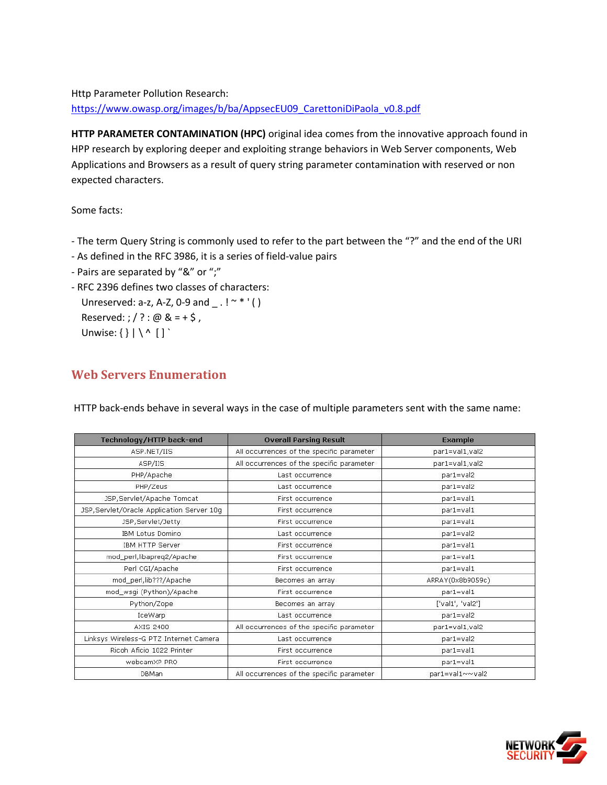## Http Parameter Pollution Research: [https://www.owasp.org/images/b/ba/AppsecEU09\\_CarettoniDiPaola\\_v0.8.pdf](https://www.owasp.org/images/b/ba/AppsecEU09_CarettoniDiPaola_v0.8.pdf)

**HTTP PARAMETER CONTAMINATION (HPC)** original idea comes from the innovative approach found in HPP research by exploring deeper and exploiting strange behaviors in Web Server components, Web Applications and Browsers as a result of query string parameter contamination with reserved or non expected characters.

Some facts:

- The term Query String is commonly used to refer to the part between the "?" and the end of the URI
- As defined in the RFC 3986, it is a series of field-value pairs
- Pairs are separated by "&" or ";"
- RFC 2396 defines two classes of characters:

Unreserved: a-z, A-Z, 0-9 and  $\cdot$  ! ~ \* ' () Reserved: ; / ? : @  $& = + $$ , Unwise:  $\{\}\ |\ \wedge \ [ \ ]$ 

## **Web Servers Enumeration**

HTTP back-ends behave in several ways in the case of multiple parameters sent with the same name:

| Technology/HTTP back-end                   | <b>Overall Parsing Result</b>             | <b>Example</b>   |
|--------------------------------------------|-------------------------------------------|------------------|
| ASP.NET/IIS                                | All occurrences of the specific parameter | par1=val1, val2  |
| ASP/IIS                                    | All occurrences of the specific parameter | par1=val1, val2  |
| PHP/Apache                                 | Last occurrence                           | par1=val2        |
| PHP/Zeus                                   | Last occurrence                           | par1=val2        |
| JSP, Servlet/Apache Tomcat                 | First occurrence                          | par1=val1        |
| JSP, Servlet/Oracle Application Server 10q | First occurrence                          | par1=val1        |
| JSP, Servlet/Jetty                         | First occurrence                          | par1=val1        |
| <b>IBM Lotus Domino</b>                    | Last occurrence                           | par1=val2        |
| <b>IBM HTTP Server</b>                     | First occurrence                          | par1=val1        |
| mod_perl,libapreq2/Apache                  | First occurrence                          | par1=val1        |
| Perl CGI/Apache                            | First occurrence                          | par1=val1        |
| mod_perl,lib???/Apache                     | Becomes an array                          | ARRAY(0x8b9059c) |
| mod_wsgi (Python)/Apache                   | First occurrence                          | par1=val1        |
| Python/Zope                                | Becomes an array                          | ['val1', 'val2'] |
| <b>IceWarp</b>                             | Last occurrence                           | par1=val2        |
| AXIS 2400                                  | All occurrences of the specific parameter | par1=val1, val2  |
| Linksys Wireless-G PTZ Internet Camera     | Last occurrence                           | par1=val2        |
| Ricoh Aficio 1022 Printer                  | First occurrence                          | par1=val1        |
| webcamXP PRO                               | First occurrence                          | par1=val1        |
| <b>DBMan</b>                               | All occurrences of the specific parameter | par1=val1~~val2  |

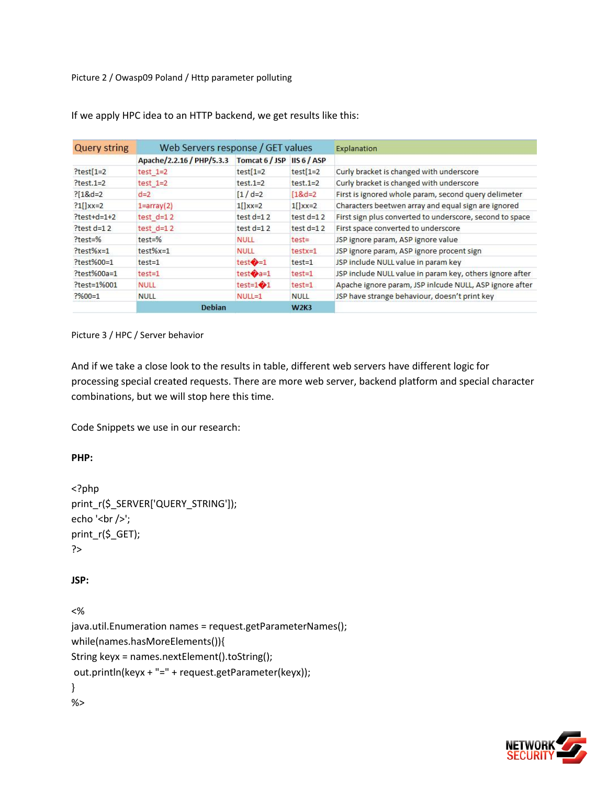Picture 2 / Owasp09 Poland / Http parameter polluting

| <b>Query string</b> | Web Servers response / GET values |                            |               | Explanation                                              |  |
|---------------------|-----------------------------------|----------------------------|---------------|----------------------------------------------------------|--|
|                     | Apache/2.2.16 / PHP/5.3.3         | Tomcat 6 / JSP IIS 6 / ASP |               |                                                          |  |
| $?test[1=2]$        | $test$ $1=2$                      | $test[1=2]$                | $test[1=2]$   | Curly bracket is changed with underscore                 |  |
| $?test.1=2$         | test $1=2$                        | $test.1=2$                 | $test.1=2$    | Curly bracket is changed with underscore                 |  |
| $?18d=2$            | $d=2$                             | $\lceil 1 / d = 2 \rceil$  | $18d = 2$     | First is ignored whole param, second query delimeter     |  |
| $?1$ $\left $ xx=2  | $1 = \arctan(2)$                  | $1$ [] $xx=2$              | $1$ [] $xx=2$ | Characters beetwen array and equal sign are ignored      |  |
| $?test+d=1+2$       | test $d=12$                       | test $d=12$                | test $d=12$   | First sign plus converted to underscore, second to space |  |
| $?test d=12$        | test $d=12$                       | test $d=12$                | test $d=12$   | First space converted to underscore                      |  |
| $?test = %$         | $test = %$                        | <b>NULL</b>                | $test =$      | JSP ignore param, ASP ignore value                       |  |
| $?test%x=1$         | $test%x=1$                        | <b>NULL</b>                | $testx=1$     | JSP ignore param, ASP ignore procent sign                |  |
| ?test%00=1          | $test = 1$                        | test $\bullet$ =1          | $test = 1$    | JSP include NULL value in param key                      |  |
| ?test%00a=1         | $test = 1$                        | test $\bullet$ a=1         | $test = 1$    | JSP include NULL value in param key, others ignore after |  |
| $?test = 1%001$     | <b>NULL</b>                       | test=1 $\bigcirc$ 1        | $test = 1$    | Apache ignore param, JSP inlcude NULL, ASP ignore after  |  |
| $? \% 00 = 1$       | <b>NULL</b>                       | $NULL=1$                   | <b>NULL</b>   | JSP have strange behaviour, doesn't print key            |  |
|                     | <b>Debian</b>                     |                            | <b>W2K3</b>   |                                                          |  |

If we apply HPC idea to an HTTP backend, we get results like this:

Picture 3 / HPC / Server behavior

And if we take a close look to the results in table, different web servers have different logic for processing special created requests. There are more web server, backend platform and special character combinations, but we will stop here this time.

Code Snippets we use in our research:

**PHP:**

```
<?php
print_r($_SERVER['QUERY_STRING']);
echo '<br/>\langlebr/>';
print_r($_GET);
?>
```
#### **JSP:**

<% java.util.Enumeration names = request.getParameterNames(); while(names.hasMoreElements()){ String keyx = names.nextElement().toString(); out.println(keyx + "=" + request.getParameter(keyx)); } %>

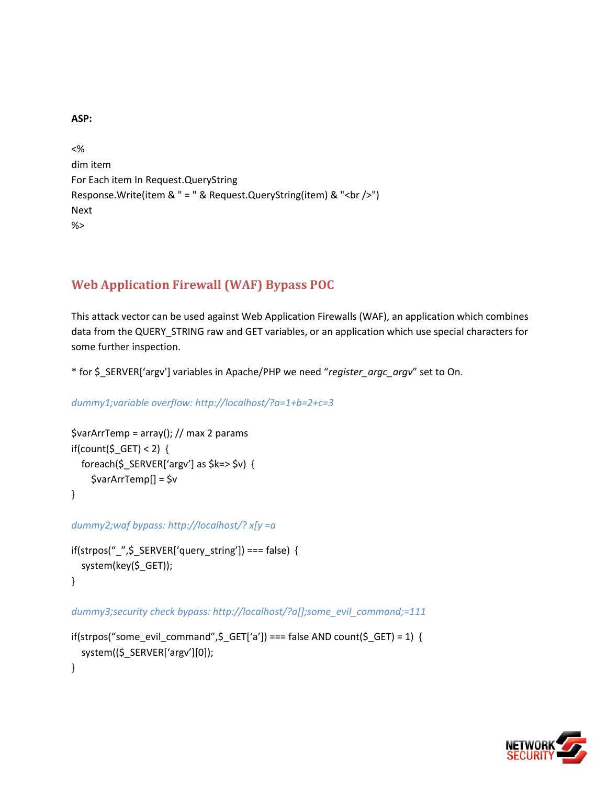**ASP:**

```
<%
dim item
For Each item In Request.QueryString
Response.Write(item & " = " & Request.QueryString(item) & "<br />>")
Next
%>
```
# **Web Application Firewall (WAF) Bypass POC**

This attack vector can be used against Web Application Firewalls (WAF), an application which combines data from the QUERY\_STRING raw and GET variables, or an application which use special characters for some further inspection.

\* for \$ SERVER['argv'] variables in Apache/PHP we need "*register\_argc\_argv*" set to On.

```
dummy1;variable overflow: http://localhost/?a=1+b=2+c=3
```

```
$varArrTemp = array(); // max 2 params
if(count(\$ GET) < 2) {
  foreach($_SERVER['argv'] as $k=> $v$ {
     $varArrTemp[] = $v
}
```
*dummy2;waf bypass: http://localhost/? x[y =a*

```
if(strpos(" _", $ _S \text{ } \text{SERVER}['query\_string']) == false) {
   system(key($_GET));
}
```
*dummy3;security check bypass: http://localhost/?a[];some\_evil\_command;=111*

```
if(strpos("some_evil_command",\zeta_GET['a']) === false AND count(\zeta_GET) = 1) {
  system(($_SERVER['argv'][0]);
}
```